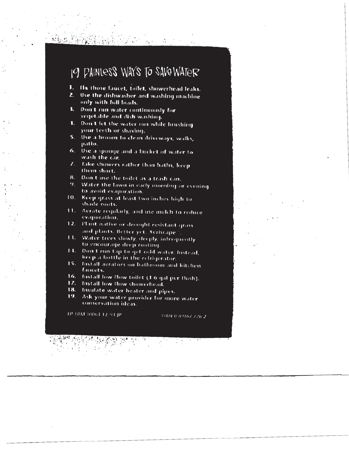## 1. Fix those faucet, toilet, showerhead leaks.  $\overline{Q}$  dishwasher and with  $\overline{Q}$  dishwasher and with  $\overline{Q}$ 3. Don't run water continuously for vegetable and dish washing.

- 1. Hx those faucet, toilet, showerhead leaks.
- 2. Use the dishwasher and washing machine<br>only with full loads. 6. Use a sponge and a bucket of water to wash the car.
- 7. Take showers rather than baths, keep than baths, keep them showers response to the media baths, controlled i
	- vegetable and dish washing.<br>8. Don't let the water run while brushing your teeth or shaving.
- 5. Use a broom to clean driveways, walks, patlo.  $11.11.$  Aeration regularly, and use mulch to reduce evaporation.
- 12. Plant native or drought resistant grass and plants. Better yet, Xeriscape. Better yet, Xeriscape. Better y<br>Plants. Better yet, Xeriscape. Better yet, Xeriscape. Better yet, Xeriscape. Better yet, Xeriscape. Better yet wash the car.<br>2. Take showers rather than baths, keep
	- them short.
	- 8. Don't use the toilet as a trash can.
	- 9. Water the lawn in early morning or evening to avoid evaporation.
	- 10. Keep grass at least two inches high to shade roots.
	- 11. Aerate regularly, and use mulch to reduce
	- Plant native or drought resistant grass  $12.$ and plants. Better yet, Xeriscape ".
	- Water trees slowly, deeply, infrequently  $13.1$ to encourage deep rooting.
	- $14.1$ Don't run tap to get cold water, instead, keep a bottle in the refrigerator.
	- Install derators on bathroom and kitchen 15. faucets.
	- fustall low flow toilet (1.6 gal per flush).  $16.$
	- 17. Install low flow showerhead.
	- 18. Insulate water heater and pipes.
	- 19. Ask your water provider for more water conservation ideas.

IP 10M 10063 12.93 IP

15BN 0-89862-726-2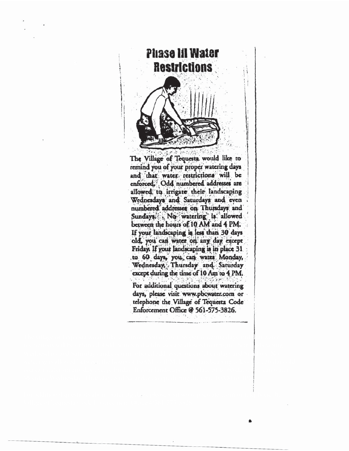

The Village of Tequesta would like to remind you of your proper watering days and that water restrictions will be enforced, Odd numbered addresses are allowed, to irrigate their landscaping Wednesdays and Saturdays and even numbered addresses on Thursdays and Sundays: No watering is allowed between the hours of 10 AM and 4 PM. If your landscaping is less than 30 days old, you can water on any day except Friday. If your landscaping is in place 31. to 60 days, you can water Monday, Wednesday, Thursday and Saturday except during the time of 10 Am to 4 PM.

For additional questions about watering days, please visit www.pbcwater.com or telephone the Village of Tequesta Code Enforcement Office @ 561-575-3826.